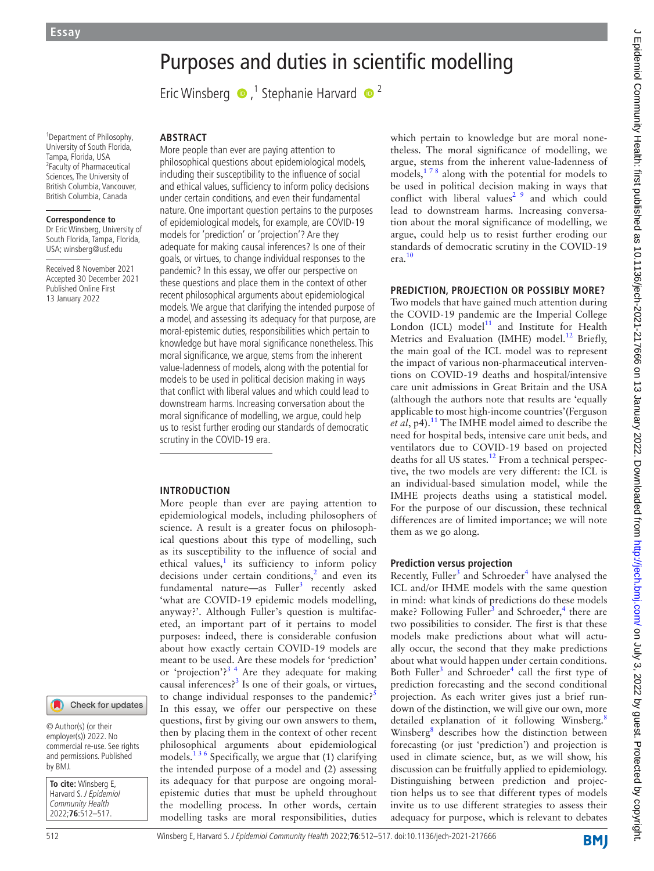# Purposes and duties in scientific modelling

EricWinsberg  $\bullet$ ,<sup>1</sup> Stephanie Harvard  $\bullet$ <sup>2</sup>

1 Department of Philosophy, University of South Florida, Tampa, Florida, USA 2 Faculty of Pharmaceutical Sciences, The University of British Columbia, Vancouver, British Columbia, Canada

#### **Correspondence to**

Dr Eric Winsberg, University of South Florida, Tampa, Florida, USA; winsberg@usf.edu

Received 8 November 2021 Accepted 30 December 2021 Published Online First 13 January 2022

# **ABSTRACT**

More people than ever are paying attention to philosophical questions about epidemiological models, including their susceptibility to the influence of social and ethical values, sufficiency to inform policy decisions under certain conditions, and even their fundamental nature. One important question pertains to the purposes of epidemiological models, for example, are COVID-19 models for 'prediction' or 'projection'? Are they adequate for making causal inferences? Is one of their goals, or virtues, to change individual responses to the pandemic? In this essay, we offer our perspective on these questions and place them in the context of other recent philosophical arguments about epidemiological models. We argue that clarifying the intended purpose of a model, and assessing its adequacy for that purpose, are moral-epistemic duties, responsibilities which pertain to knowledge but have moral significance nonetheless. This moral significance, we argue, stems from the inherent value-ladenness of models, along with the potential for models to be used in political decision making in ways that conflict with liberal values and which could lead to downstream harms. Increasing conversation about the moral significance of modelling, we argue, could help us to resist further eroding our standards of democratic scrutiny in the COVID-19 era.

## **INTRODUCTION**

More people than ever are paying attention to epidemiological models, including philosophers of science. A result is a greater focus on philosophical questions about this type of modelling, such as its susceptibility to the influence of social and ethical values, $\frac{1}{1}$  $\frac{1}{1}$  $\frac{1}{1}$  its sufficiency to inform policy decisions under certain conditions, $<sup>2</sup>$  $<sup>2</sup>$  $<sup>2</sup>$  and even its</sup> fundamental nature—as Fuller<sup>[3](#page-4-2)</sup> recently asked 'what are COVID-19 epidemic models modelling, anyway?'. Although Fuller's question is multifaceted, an important part of it pertains to model purposes: indeed, there is considerable confusion about how exactly certain COVID-19 models are meant to be used. Are these models for 'prediction' or 'projection'?<sup>34</sup> Are they adequate for making causal inferences?<sup>3</sup> Is one of their goals, or virtues, to change individual responses to the pandemic?<sup>[5](#page-4-3)</sup> In this essay, we offer our perspective on these questions, first by giving our own answers to them, then by placing them in the context of other recent philosophical arguments about epidemiological models.<sup>136</sup> Specifically, we argue that (1) clarifying the intended purpose of a model and (2) assessing its adequacy for that purpose are ongoing moralepistemic duties that must be upheld throughout the modelling process. In other words, certain modelling tasks are moral responsibilities, duties

which pertain to knowledge but are moral nonetheless. The moral significance of modelling, we argue, stems from the inherent value-ladenness of models, $178$  along with the potential for models to be used in political decision making in ways that conflict with liberal values<sup>[2 9](#page-4-1)</sup> and which could lead to downstream harms. Increasing conversation about the moral significance of modelling, we argue, could help us to resist further eroding our standards of democratic scrutiny in the COVID-19 era[.10](#page-4-4)

#### **PREDICTION, PROJECTION OR POSSIBLY MORE?**

Two models that have gained much attention during the COVID-19 pandemic are the Imperial College London (ICL)  $model<sup>11</sup>$  $model<sup>11</sup>$  $model<sup>11</sup>$  and Institute for Health Metrics and Evaluation (IMHE) model.<sup>12</sup> Briefly, the main goal of the ICL model was to represent the impact of various non-pharmaceutical interventions on COVID-19 deaths and hospital/intensive care unit admissions in Great Britain and the USA (although the authors note that results are 'equally applicable to most high-income countries'(Ferguson et al, p4).<sup>11</sup> The IMHE model aimed to describe the need for hospital beds, intensive care unit beds, and ventilators due to COVID-19 based on projected deaths for all US states.<sup>12</sup> From a technical perspective, the two models are very different: the ICL is an individual-based simulation model, while the IMHE projects deaths using a statistical model. For the purpose of our discussion, these technical differences are of limited importance; we will note them as we go along.

## **Prediction versus projection**

Recently, Fuller<sup>[3](#page-4-2)</sup> and Schroeder<sup>[4](#page-4-7)</sup> have analysed the ICL and/or IHME models with the same question in mind: what kinds of predictions do these models make? Following Fuller<sup>3</sup> and Schroeder,<sup>[4](#page-4-7)</sup> there are two possibilities to consider. The first is that these models make predictions about what will actually occur, the second that they make predictions about what would happen under certain conditions. Both Fuller<sup>[3](#page-4-2)</sup> and Schroeder<sup>[4](#page-4-7)</sup> call the first type of prediction forecasting and the second conditional projection. As each writer gives just a brief rundown of the distinction, we will give our own, more detailed explanation of it following Winsberg.<sup>[8](#page-4-8)</sup> Winsberg<sup>[8](#page-4-8)</sup> describes how the distinction between forecasting (or just 'prediction') and projection is used in climate science, but, as we will show, his discussion can be fruitfully applied to epidemiology. Distinguishing between prediction and projection helps us to see that different types of models invite us to use different strategies to assess their adequacy for purpose, which is relevant to debates

© Author(s) (or their employer(s)) 2022. No commercial re-use. See rights and permissions. Published by BMJ.

**To cite:** Winsberg E, Harvard S. J Epidemiol Community Health 2022;**76**:512–517.

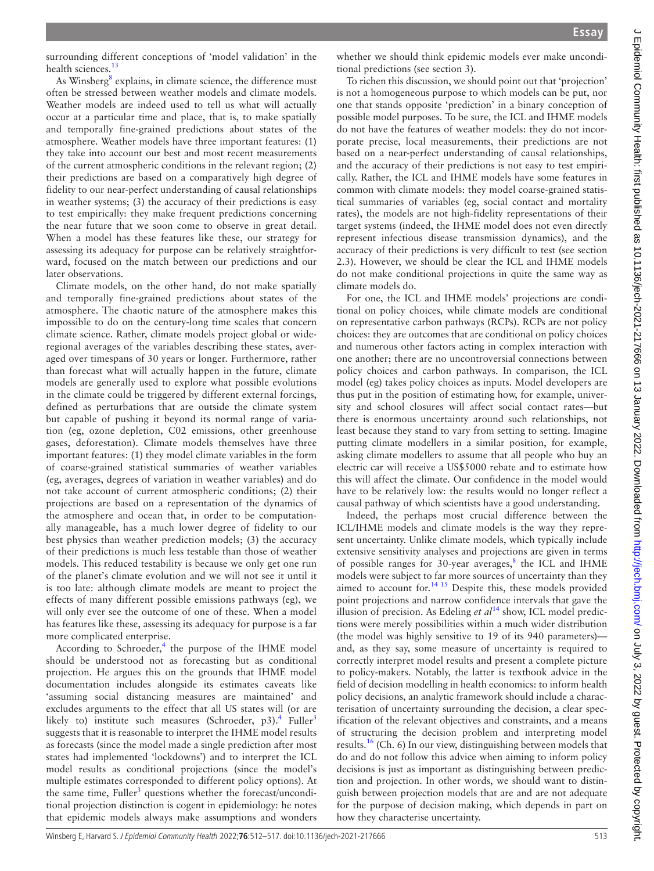surrounding different conceptions of 'model validation' in the health sciences.<sup>13</sup>

As Winsberg<sup>[8](#page-4-8)</sup> explains, in climate science, the difference must often be stressed between weather models and climate models. Weather models are indeed used to tell us what will actually occur at a particular time and place, that is, to make spatially and temporally fine-grained predictions about states of the atmosphere. Weather models have three important features: (1) they take into account our best and most recent measurements of the current atmospheric conditions in the relevant region; (2) their predictions are based on a comparatively high degree of fidelity to our near-perfect understanding of causal relationships in weather systems; (3) the accuracy of their predictions is easy to test empirically: they make frequent predictions concerning the near future that we soon come to observe in great detail. When a model has these features like these, our strategy for assessing its adequacy for purpose can be relatively straightforward, focused on the match between our predictions and our later observations.

Climate models, on the other hand, do not make spatially and temporally fine-grained predictions about states of the atmosphere. The chaotic nature of the atmosphere makes this impossible to do on the century-long time scales that concern climate science. Rather, climate models project global or wideregional averages of the variables describing these states, averaged over timespans of 30 years or longer. Furthermore, rather than forecast what will actually happen in the future, climate models are generally used to explore what possible evolutions in the climate could be triggered by different external forcings, defined as perturbations that are outside the climate system but capable of pushing it beyond its normal range of variation (eg, ozone depletion, C02 emissions, other greenhouse gases, deforestation). Climate models themselves have three important features: (1) they model climate variables in the form of coarse-grained statistical summaries of weather variables (eg, averages, degrees of variation in weather variables) and do not take account of current atmospheric conditions; (2) their projections are based on a representation of the dynamics of the atmosphere and ocean that, in order to be computationally manageable, has a much lower degree of fidelity to our best physics than weather prediction models; (3) the accuracy of their predictions is much less testable than those of weather models. This reduced testability is because we only get one run of the planet's climate evolution and we will not see it until it is too late: although climate models are meant to project the effects of many different possible emissions pathways (eg), we will only ever see the outcome of one of these. When a model has features like these, assessing its adequacy for purpose is a far more complicated enterprise.

According to Schroeder, $4$  the purpose of the IHME model should be understood not as forecasting but as conditional projection. He argues this on the grounds that IHME model documentation includes alongside its estimates caveats like 'assuming social distancing measures are maintained' and excludes arguments to the effect that all US states will (or are likely to) institute such measures (Schroeder, p3).<sup>[4](#page-4-7)</sup> Fuller<sup>3</sup> suggests that it is reasonable to interpret the IHME model results as forecasts (since the model made a single prediction after most states had implemented 'lockdowns') and to interpret the ICL model results as conditional projections (since the model's multiple estimates corresponded to different policy options). At the same time, Fuller<sup>[3](#page-4-2)</sup> questions whether the forecast/unconditional projection distinction is cogent in epidemiology: he notes that epidemic models always make assumptions and wonders

whether we should think epidemic models ever make unconditional predictions (see section 3).

To richen this discussion, we should point out that 'projection' is not a homogeneous purpose to which models can be put, nor one that stands opposite 'prediction' in a binary conception of possible model purposes. To be sure, the ICL and IHME models do not have the features of weather models: they do not incorporate precise, local measurements, their predictions are not based on a near-perfect understanding of causal relationships, and the accuracy of their predictions is not easy to test empirically. Rather, the ICL and IHME models have some features in common with climate models: they model coarse-grained statistical summaries of variables (eg, social contact and mortality rates), the models are not high-fidelity representations of their target systems (indeed, the IHME model does not even directly represent infectious disease transmission dynamics), and the accuracy of their predictions is very difficult to test (see section 2.3). However, we should be clear the ICL and IHME models do not make conditional projections in quite the same way as climate models do.

For one, the ICL and IHME models' projections are conditional on policy choices, while climate models are conditional on representative carbon pathways (RCPs). RCPs are not policy choices: they are outcomes that are conditional on policy choices and numerous other factors acting in complex interaction with one another; there are no uncontroversial connections between policy choices and carbon pathways. In comparison, the ICL model (eg) takes policy choices as inputs. Model developers are thus put in the position of estimating how, for example, university and school closures will affect social contact rates—but there is enormous uncertainty around such relationships, not least because they stand to vary from setting to setting. Imagine putting climate modellers in a similar position, for example, asking climate modellers to assume that all people who buy an electric car will receive a US\$5000 rebate and to estimate how this will affect the climate. Our confidence in the model would have to be relatively low: the results would no longer reflect a causal pathway of which scientists have a good understanding.

Indeed, the perhaps most crucial difference between the ICL/IHME models and climate models is the way they represent uncertainty. Unlike climate models, which typically include extensive sensitivity analyses and projections are given in terms of possible ranges for 30-year averages,<sup>[8](#page-4-8)</sup> the ICL and IHME models were subject to far more sources of uncertainty than they aimed to account for.<sup>14 15</sup> Despite this, these models provided point projections and narrow confidence intervals that gave the illusion of precision. As Edeling *et al*<sup>[14](#page-4-10)</sup> show, ICL model predictions were merely possibilities within a much wider distribution (the model was highly sensitive to 19 of its 940 parameters) and, as they say, some measure of uncertainty is required to correctly interpret model results and present a complete picture to policy-makers. Notably, the latter is textbook advice in the field of decision modelling in health economics: to inform health policy decisions, an analytic framework should include a characterisation of uncertainty surrounding the decision, a clear specification of the relevant objectives and constraints, and a means of structuring the decision problem and interpreting model results.<sup>16</sup> (Ch. 6) In our view, distinguishing between models that do and do not follow this advice when aiming to inform policy decisions is just as important as distinguishing between prediction and projection. In other words, we should want to distinguish between projection models that are and are not adequate for the purpose of decision making, which depends in part on how they characterise uncertainty.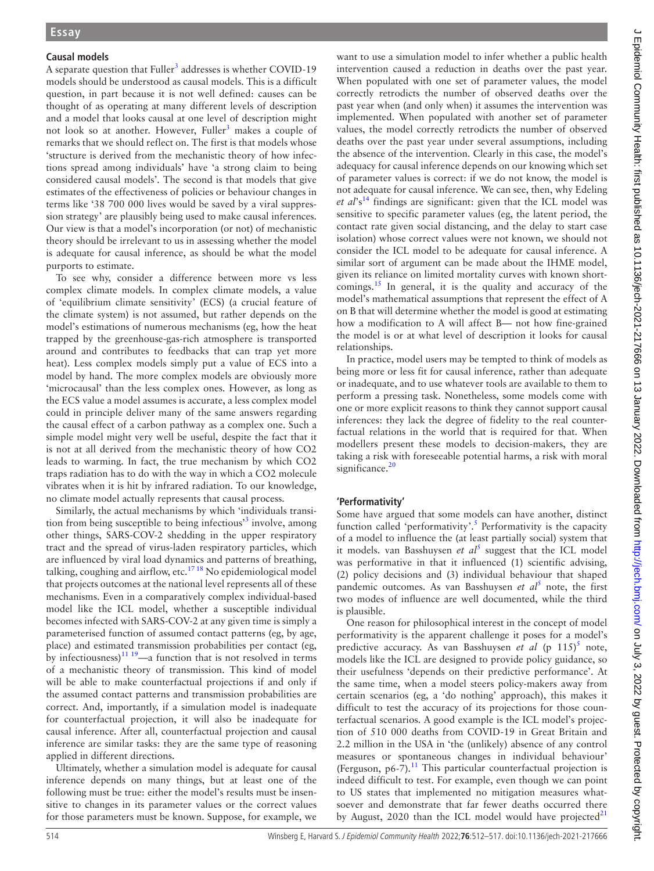## **Causal models**

A separate question that Fuller<sup>3</sup> addresses is whether COVID-19 models should be understood as causal models. This is a difficult question, in part because it is not well defined: causes can be thought of as operating at many different levels of description and a model that looks causal at one level of description might not look so at another. However, Fuller<sup>3</sup> makes a couple of remarks that we should reflect on. The first is that models whose 'structure is derived from the mechanistic theory of how infections spread among individuals' have 'a strong claim to being considered causal models'. The second is that models that give estimates of the effectiveness of policies or behaviour changes in terms like '38 700 000 lives would be saved by a viral suppression strategy' are plausibly being used to make causal inferences. Our view is that a model's incorporation (or not) of mechanistic theory should be irrelevant to us in assessing whether the model is adequate for causal inference, as should be what the model purports to estimate.

To see why, consider a difference between more vs less complex climate models. In complex climate models, a value of 'equilibrium climate sensitivity' (ECS) (a crucial feature of the climate system) is not assumed, but rather depends on the model's estimations of numerous mechanisms (eg, how the heat trapped by the greenhouse-gas-rich atmosphere is transported around and contributes to feedbacks that can trap yet more heat). Less complex models simply put a value of ECS into a model by hand. The more complex models are obviously more 'microcausal' than the less complex ones. However, as long as the ECS value a model assumes is accurate, a less complex model could in principle deliver many of the same answers regarding the causal effect of a carbon pathway as a complex one. Such a simple model might very well be useful, despite the fact that it is not at all derived from the mechanistic theory of how CO2 leads to warming. In fact, the true mechanism by which CO2 traps radiation has to do with the way in which a CO2 molecule vibrates when it is hit by infrared radiation. To our knowledge, no climate model actually represents that causal process.

Similarly, the actual mechanisms by which 'individuals transi-tion from being susceptible to being infectious<sup>[3](#page-4-2)3</sup> involve, among other things, SARS-COV-2 shedding in the upper respiratory tract and the spread of virus-laden respiratory particles, which are influenced by viral load dynamics and patterns of breathing, talking, coughing and airflow, etc.<sup>1718</sup> No epidemiological model that projects outcomes at the national level represents all of these mechanisms. Even in a comparatively complex individual-based model like the ICL model, whether a susceptible individual becomes infected with SARS-COV-2 at any given time is simply a parameterised function of assumed contact patterns (eg, by age, place) and estimated transmission probabilities per contact (eg, by infectiousness) $11^{19}$ —a function that is not resolved in terms of a mechanistic theory of transmission. This kind of model will be able to make counterfactual projections if and only if the assumed contact patterns and transmission probabilities are correct. And, importantly, if a simulation model is inadequate for counterfactual projection, it will also be inadequate for causal inference. After all, counterfactual projection and causal inference are similar tasks: they are the same type of reasoning applied in different directions.

Ultimately, whether a simulation model is adequate for causal inference depends on many things, but at least one of the following must be true: either the model's results must be insensitive to changes in its parameter values or the correct values for those parameters must be known. Suppose, for example, we

want to use a simulation model to infer whether a public health intervention caused a reduction in deaths over the past year. When populated with one set of parameter values, the model correctly retrodicts the number of observed deaths over the past year when (and only when) it assumes the intervention was implemented. When populated with another set of parameter values, the model correctly retrodicts the number of observed deaths over the past year under several assumptions, including the absence of the intervention. Clearly in this case, the model's adequacy for causal inference depends on our knowing which set of parameter values is correct: if we do not know, the model is not adequate for causal inference. We can see, then, why Edeling et al's<sup>14</sup> findings are significant: given that the ICL model was sensitive to specific parameter values (eg, the latent period, the contact rate given social distancing, and the delay to start case isolation) whose correct values were not known, we should not consider the ICL model to be adequate for causal inference. A similar sort of argument can be made about the IHME model, given its reliance on limited mortality curves with known shortcomings.<sup>15</sup> In general, it is the quality and accuracy of the model's mathematical assumptions that represent the effect of A on B that will determine whether the model is good at estimating how a modification to A will affect B— not how fine-grained the model is or at what level of description it looks for causal relationships.

In practice, model users may be tempted to think of models as being more or less fit for causal inference, rather than adequate or inadequate, and to use whatever tools are available to them to perform a pressing task. Nonetheless, some models come with one or more explicit reasons to think they cannot support causal inferences: they lack the degree of fidelity to the real counterfactual relations in the world that is required for that. When modellers present these models to decision-makers, they are taking a risk with foreseeable potential harms, a risk with moral significance. $20$ 

# **'Performativity'**

Some have argued that some models can have another, distinct function called 'performativity'.<sup>[5](#page-4-3)</sup> Performativity is the capacity of a model to influence the (at least partially social) system that it models. van Basshuysen et al<sup>[5](#page-4-3)</sup> suggest that the ICL model was performative in that it influenced (1) scientific advising, (2) policy decisions and (3) individual behaviour that shaped pandemic outcomes. As van Basshuysen *et al*<sup>[5](#page-4-3)</sup> note, the first two modes of influence are well documented, while the third is plausible.

One reason for philosophical interest in the concept of model performativity is the apparent challenge it poses for a model's predictive accuracy. As van Basshuysen et al (p 11[5](#page-4-3))<sup>5</sup> note, models like the ICL are designed to provide policy guidance, so their usefulness 'depends on their predictive performance'. At the same time, when a model steers policy-makers away from certain scenarios (eg, a 'do nothing' approach), this makes it difficult to test the accuracy of its projections for those counterfactual scenarios. A good example is the ICL model's projection of 510 000 deaths from COVID-19 in Great Britain and 2.2 million in the USA in 'the (unlikely) absence of any control measures or spontaneous changes in individual behaviour' (Ferguson,  $p6-7$ ).<sup>11</sup> This particular counterfactual projection is indeed difficult to test. For example, even though we can point to US states that implemented no mitigation measures whatsoever and demonstrate that far fewer deaths occurred there by August, 2020 than the ICL model would have projected $21$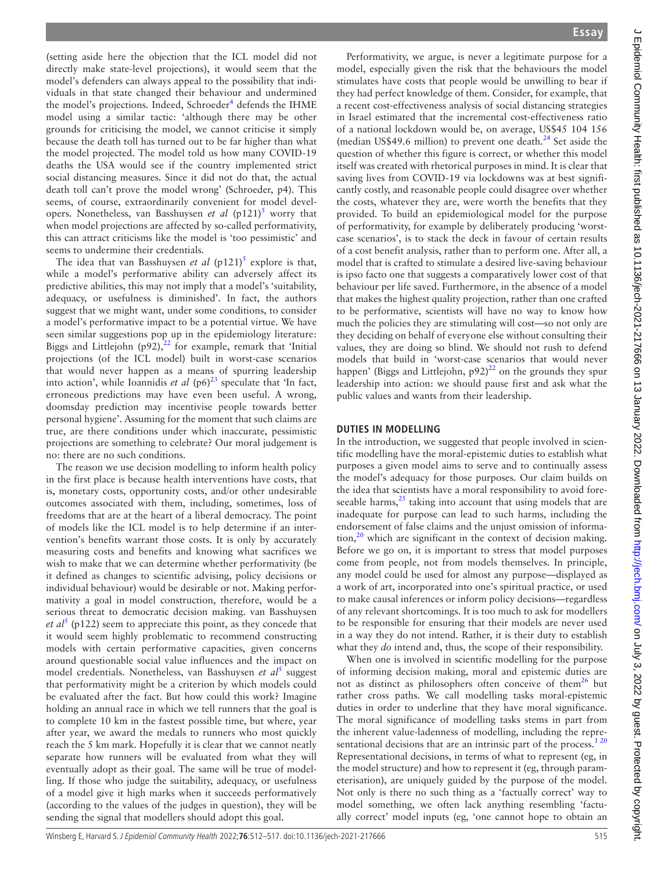(setting aside here the objection that the ICL model did not directly make state-level projections), it would seem that the model's defenders can always appeal to the possibility that individuals in that state changed their behaviour and undermined the model's projections. Indeed, Schroeder<sup>[4](#page-4-7)</sup> defends the IHME model using a similar tactic: 'although there may be other grounds for criticising the model, we cannot criticise it simply because the death toll has turned out to be far higher than what the model projected. The model told us how many COVID-19 deaths the USA would see if the country implemented strict social distancing measures. Since it did not do that, the actual death toll can't prove the model wrong' (Schroeder, p4). This seems, of course, extraordinarily convenient for model developers. Nonetheless, van Basshuysen *et al* (p121)<sup>5</sup> worry that when model projections are affected by so-called performativity, this can attract criticisms like the model is 'too pessimistic' and seems to undermine their credentials.

The idea that van Basshuysen *et al*  $(p121)^5$  $(p121)^5$  explore is that, while a model's performative ability can adversely affect its predictive abilities, this may not imply that a model's 'suitability, adequacy, or usefulness is diminished'. In fact, the authors suggest that we might want, under some conditions, to consider a model's performative impact to be a potential virtue. We have seen similar suggestions pop up in the epidemiology literature: Biggs and Littlejohn  $(p92)$ ,<sup>22</sup> for example, remark that 'Initial projections (of the ICL model) built in worst-case scenarios that would never happen as a means of spurring leadership into action', while Ioannidis et al (p6)<sup>[23](#page-5-5)</sup> speculate that 'In fact, erroneous predictions may have even been useful. A wrong, doomsday prediction may incentivise people towards better personal hygiene'. Assuming for the moment that such claims are true, are there conditions under which inaccurate, pessimistic projections are something to celebrate? Our moral judgement is no: there are no such conditions.

The reason we use decision modelling to inform health policy in the first place is because health interventions have costs, that is, monetary costs, opportunity costs, and/or other undesirable outcomes associated with them, including, sometimes, loss of freedoms that are at the heart of a liberal democracy. The point of models like the ICL model is to help determine if an intervention's benefits warrant those costs. It is only by accurately measuring costs and benefits and knowing what sacrifices we wish to make that we can determine whether performativity (be it defined as changes to scientific advising, policy decisions or individual behaviour) would be desirable or not. Making performativity a goal in model construction, therefore, would be a serious threat to democratic decision making. van Basshuysen *et al*<sup>[5](#page-4-3)</sup> (p122) seem to appreciate this point, as they concede that it would seem highly problematic to recommend constructing models with certain performative capacities, given concerns around questionable social value influences and the impact on model credentials. Nonetheless, van Basshuysen et al<sup>[5](#page-4-3)</sup> suggest that performativity might be a criterion by which models could be evaluated after the fact. But how could this work? Imagine holding an annual race in which we tell runners that the goal is to complete 10 km in the fastest possible time, but where, year after year, we award the medals to runners who most quickly reach the 5 km mark. Hopefully it is clear that we cannot neatly separate how runners will be evaluated from what they will eventually adopt as their goal. The same will be true of modelling. If those who judge the suitability, adequacy, or usefulness of a model give it high marks when it succeeds performatively (according to the values of the judges in question), they will be sending the signal that modellers should adopt this goal.

Performativity, we argue, is never a legitimate purpose for a model, especially given the risk that the behaviours the model stimulates have costs that people would be unwilling to bear if they had perfect knowledge of them. Consider, for example, that a recent cost-effectiveness analysis of social distancing strategies in Israel estimated that the incremental cost-effectiveness ratio of a national lockdown would be, on average, US\$45 104 156 (median US\$49.6 million) to prevent one death. $24$  Set aside the question of whether this figure is correct, or whether this model itself was created with rhetorical purposes in mind. It is clear that saving lives from COVID-19 via lockdowns was at best significantly costly, and reasonable people could disagree over whether the costs, whatever they are, were worth the benefits that they provided. To build an epidemiological model for the purpose of performativity, for example by deliberately producing 'worstcase scenarios', is to stack the deck in favour of certain results of a cost benefit analysis, rather than to perform one. After all, a model that is crafted to stimulate a desired live-saving behaviour is ipso facto one that suggests a comparatively lower cost of that behaviour per life saved. Furthermore, in the absence of a model that makes the highest quality projection, rather than one crafted to be performative, scientists will have no way to know how much the policies they are stimulating will cost—so not only are they deciding on behalf of everyone else without consulting their values, they are doing so blind. We should not rush to defend models that build in 'worst-case scenarios that would never happen' (Biggs and Littlejohn,  $p92$ )<sup>22</sup> on the grounds they spur leadership into action: we should pause first and ask what the public values and wants from their leadership.

## **DUTIES IN MODELLING**

In the introduction, we suggested that people involved in scientific modelling have the moral-epistemic duties to establish what purposes a given model aims to serve and to continually assess the model's adequacy for those purposes. Our claim builds on the idea that scientists have a moral responsibility to avoid foreseeable harms, $25$  taking into account that using models that are inadequate for purpose can lead to such harms, including the endorsement of false claims and the unjust omission of information, $^{20}$  $^{20}$  $^{20}$  which are significant in the context of decision making. Before we go on, it is important to stress that model purposes come from people, not from models themselves. In principle, any model could be used for almost any purpose—displayed as a work of art, incorporated into one's spiritual practice, or used to make causal inferences or inform policy decisions—regardless of any relevant shortcomings. It is too much to ask for modellers to be responsible for ensuring that their models are never used in a way they do not intend. Rather, it is their duty to establish what they *do* intend and, thus, the scope of their responsibility.

When one is involved in scientific modelling for the purpose of informing decision making, moral and epistemic duties are not as distinct as philosophers often conceive of them<sup>[26](#page-5-8)</sup> but rather cross paths. We call modelling tasks moral-epistemic duties in order to underline that they have moral significance. The moral significance of modelling tasks stems in part from the inherent value-ladenness of modelling, including the representational decisions that are an intrinsic part of the process.<sup>120</sup> Representational decisions, in terms of what to represent (eg, in the model structure) and how to represent it (eg, through parameterisation), are uniquely guided by the purpose of the model. Not only is there no such thing as a 'factually correct' way to model something, we often lack anything resembling 'factually correct' model inputs (eg, 'one cannot hope to obtain an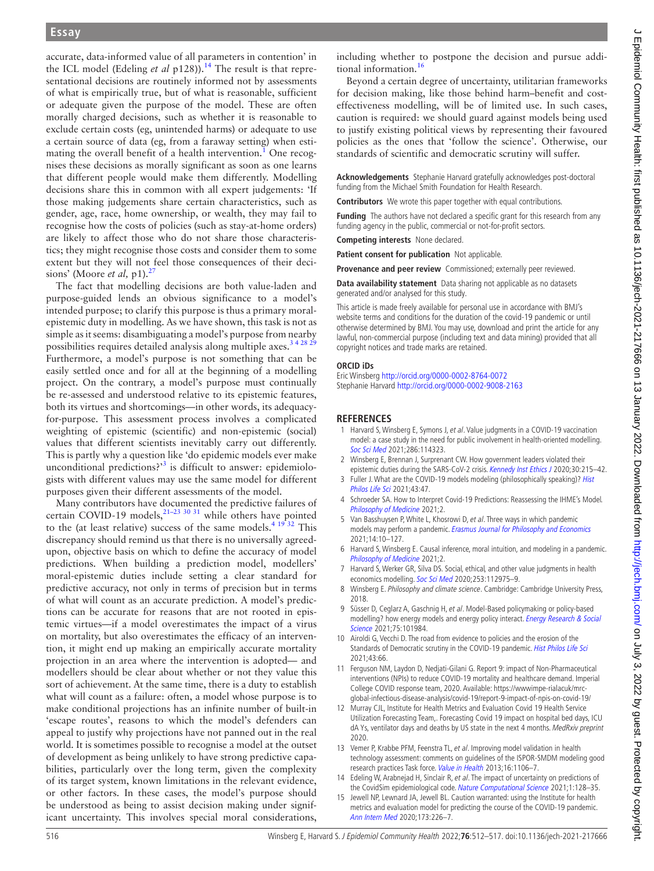accurate, data-informed value of all parameters in contention' in the ICL model (Edeling *et al* p128)).<sup>14</sup> The result is that representational decisions are routinely informed not by assessments of what is empirically true, but of what is reasonable, sufficient or adequate given the purpose of the model. These are often morally charged decisions, such as whether it is reasonable to exclude certain costs (eg, unintended harms) or adequate to use a certain source of data (eg, from a faraway setting) when esti-mating the overall benefit of a health intervention.<sup>[1](#page-4-0)</sup> One recognises these decisions as morally significant as soon as one learns that different people would make them differently. Modelling decisions share this in common with all expert judgements: 'If those making judgements share certain characteristics, such as gender, age, race, home ownership, or wealth, they may fail to recognise how the costs of policies (such as stay-at-home orders) are likely to affect those who do not share those characteristics; they might recognise those costs and consider them to some extent but they will not feel those consequences of their decisions' (Moore *et al*, p1).<sup>2</sup>

The fact that modelling decisions are both value-laden and purpose-guided lends an obvious significance to a model's intended purpose; to clarify this purpose is thus a primary moralepistemic duty in modelling. As we have shown, this task is not as simple as it seems: disambiguating a model's purpose from nearby possibilities requires detailed analysis along multiple axes.<sup>3 4 28</sup> <sup>29</sup> Furthermore, a model's purpose is not something that can be easily settled once and for all at the beginning of a modelling project. On the contrary, a model's purpose must continually be re-assessed and understood relative to its epistemic features, both its virtues and shortcomings—in other words, its adequacyfor-purpose. This assessment process involves a complicated weighting of epistemic (scientific) and non-epistemic (social) values that different scientists inevitably carry out differently. This is partly why a question like 'do epidemic models ever make unconditional predictions?<sup>[3](#page-4-2)</sup> is difficult to answer: epidemiologists with different values may use the same model for different purposes given their different assessments of the model.

Many contributors have documented the predictive failures of certain COVID-19 models,  $21-23$  30 31 while others have pointed to the (at least relative) success of the same models.<sup>4 19 32</sup> This discrepancy should remind us that there is no universally agreedupon, objective basis on which to define the accuracy of model predictions. When building a prediction model, modellers' moral-epistemic duties include setting a clear standard for predictive accuracy, not only in terms of precision but in terms of what will count as an accurate prediction. A model's predictions can be accurate for reasons that are not rooted in epistemic virtues—if a model overestimates the impact of a virus on mortality, but also overestimates the efficacy of an intervention, it might end up making an empirically accurate mortality projection in an area where the intervention is adopted— and modellers should be clear about whether or not they value this sort of achievement. At the same time, there is a duty to establish what will count as a failure: often, a model whose purpose is to make conditional projections has an infinite number of built-in 'escape routes', reasons to which the model's defenders can appeal to justify why projections have not panned out in the real world. It is sometimes possible to recognise a model at the outset of development as being unlikely to have strong predictive capabilities, particularly over the long term, given the complexity of its target system, known limitations in the relevant evidence, or other factors. In these cases, the model's purpose should be understood as being to assist decision making under significant uncertainty. This involves special moral considerations,

including whether to postpone the decision and pursue additional information.[16](#page-5-0)

Beyond a certain degree of uncertainty, utilitarian frameworks for decision making, like those behind harm–benefit and costeffectiveness modelling, will be of limited use. In such cases, caution is required: we should guard against models being used to justify existing political views by representing their favoured policies as the ones that 'follow the science'. Otherwise, our standards of scientific and democratic scrutiny will suffer.

**Acknowledgements** Stephanie Harvard gratefully acknowledges post-doctoral funding from the Michael Smith Foundation for Health Research.

**Contributors** We wrote this paper together with equal contributions.

**Funding** The authors have not declared a specific grant for this research from any funding agency in the public, commercial or not-for-profit sectors.

**Competing interests** None declared.

**Patient consent for publication** Not applicable.

**Provenance and peer review** Commissioned; externally peer reviewed.

**Data availability statement** Data sharing not applicable as no datasets generated and/or analysed for this study.

This article is made freely available for personal use in accordance with BMJ's website terms and conditions for the duration of the covid-19 pandemic or until otherwise determined by BMJ. You may use, download and print the article for any lawful, non-commercial purpose (including text and data mining) provided that all copyright notices and trade marks are retained.

#### **ORCID iDs**

Eric Winsberg <http://orcid.org/0000-0002-8764-0072> Stephanie Harvard <http://orcid.org/0000-0002-9008-2163>

#### **REFERENCES**

- <span id="page-4-0"></span>1 Harvard S, Winsberg E, Symons J, et al. Value judgments in a COVID-19 vaccination model: a case study in the need for public involvement in health-oriented modelling. [Soc Sci Med](http://dx.doi.org/10.1016/j.socscimed.2021.114323) 2021;286:114323.
- <span id="page-4-1"></span>2 Winsberg E, Brennan J, Surprenant CW. How government leaders violated their epistemic duties during the SARS-CoV-2 crisis. [Kennedy Inst Ethics J](http://dx.doi.org/10.1353/ken.2020.0013) 2020;30:215-42.
- <span id="page-4-2"></span>3 Fuller J. What are the COVID-19 models modeling (philosophically speaking)? Hist [Philos Life Sci](http://dx.doi.org/10.1007/s40656-021-00407-5) 2021;43:47.
- <span id="page-4-7"></span>4 Schroeder SA. How to Interpret Covid-19 Predictions: Reassessing the IHME's Model. [Philosophy of Medicine](http://dx.doi.org/10.5195/philmed.2021.43) 2021;2.
- <span id="page-4-3"></span>5 Van Basshuysen P, White L, Khosrowi D, et al. Three ways in which pandemic models may perform a pandemic. [Erasmus Journal for Philosophy and Economics](http://dx.doi.org/10.23941/ejpe.v14i1.582) 2021;14:10–127.
- 6 Harvard S, Winsberg E. Causal inference, moral intuition, and modeling in a pandemic. [Philosophy of Medicine](http://dx.doi.org/10.5195/philmed.2021.70) 2021;2.
- 7 Harvard S, Werker GR, Silva DS. Social, ethical, and other value judgments in health economics modelling. [Soc Sci Med](http://dx.doi.org/10.1016/j.socscimed.2020.112975) 2020;253:112975–9.
- <span id="page-4-8"></span>8 Winsberg E. Philosophy and climate science. Cambridge: Cambridge University Press, 2018.
- 9 Süsser D, Ceglarz A, Gaschnig H, et al. Model-Based policymaking or policy-based modelling? how energy models and energy policy interact. Energy Research & Social [Science](http://dx.doi.org/10.1016/j.erss.2021.101984) 2021;75:101984.
- <span id="page-4-4"></span>10 Airoldi G, Vecchi D. The road from evidence to policies and the erosion of the Standards of Democratic scrutiny in the COVID-19 pandemic. [Hist Philos Life Sci](http://dx.doi.org/10.1007/s40656-021-00419-1) 2021;43:66.
- <span id="page-4-5"></span>11 Ferguson NM, Laydon D, Nedjati-Gilani G. Report 9: impact of Non-Pharmaceutical interventions (NPIs) to reduce COVID-19 mortality and healthcare demand. Imperial College COVID response team, 2020. Available: [https://wwwimpe-rialacuk/mrc](https://wwwimpe-rialacuk/mrc-global-infectious-disease-analysis/covid-19/report-9-impact-of-npis-on-covid-19/)[global-infectious-disease-analysis/covid-19/report-9-impact-of-npis-on-covid-19/](https://wwwimpe-rialacuk/mrc-global-infectious-disease-analysis/covid-19/report-9-impact-of-npis-on-covid-19/)
- <span id="page-4-6"></span>12 Murray CJL, Institute for Health Metrics and Evaluation Covid 19 Health Service Utilization Forecasting Team,. Forecasting Covid 19 impact on hospital bed days, ICU dA Ys, ventilator days and deaths by US state in the next 4 months. MedRxiv preprint 2020.
- <span id="page-4-9"></span>13 Vemer P, Krabbe PFM, Feenstra TL, et al. Improving model validation in health technology assessment: comments on guidelines of the ISPOR-SMDM modeling good research practices Task force. [Value in Health](http://dx.doi.org/10.1016/j.jval.2013.06.015) 2013;16:1106-7.
- <span id="page-4-10"></span>14 Edeling W, Arabnejad H, Sinclair R, et al. The impact of uncertainty on predictions of the CovidSim epidemiological code. [Nature Computational Science](http://dx.doi.org/10.1038/s43588-021-00028-9) 2021;1:128-35.
- <span id="page-4-11"></span>15 Jewell NP, Lewnard JA, Jewell BL. Caution warranted: using the Institute for health metrics and evaluation model for predicting the course of the COVID-19 pandemic. [Ann Intern Med](http://dx.doi.org/10.7326/M20-1565) 2020;173:226–7.